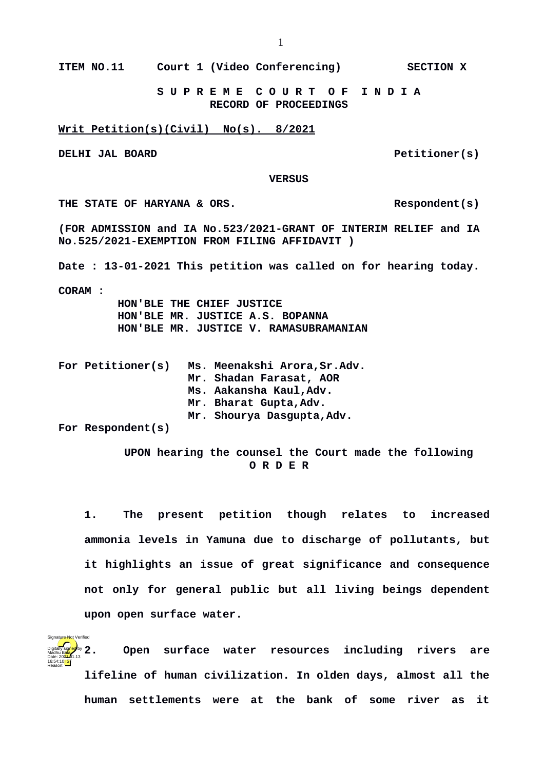**ITEM NO.11 Court 1 (Video Conferencing) SECTION X**

 **S U P R E M E C O U R T O F I N D I A RECORD OF PROCEEDINGS**

**Writ Petition(s)(Civil) No(s). 8/2021**

**DELHI JAL BOARD Petitioner(s)** 

 **VERSUS**

THE STATE OF HARYANA & ORS. Respondent(s)

**(FOR ADMISSION and IA No.523/2021-GRANT OF INTERIM RELIEF and IA** 

**No.525/2021-EXEMPTION FROM FILING AFFIDAVIT )**

**Date : 13-01-2021 This petition was called on for hearing today.**

**CORAM :** 

Reason:

Signature Not Verified

 **HON'BLE THE CHIEF JUSTICE HON'BLE MR. JUSTICE A.S. BOPANNA HON'BLE MR. JUSTICE V. RAMASUBRAMANIAN**

| For Petitioner(s) | Ms. Meenakshi Arora, Sr.Adv. |
|-------------------|------------------------------|
|                   | Mr. Shadan Farasat, AOR      |
|                   | Ms. Aakansha Kaul, Adv.      |
|                   | Mr. Bharat Gupta, Adv.       |
|                   | Mr. Shourya Dasgupta, Adv.   |
| _ _ _ _           |                              |

**For Respondent(s)** 

 **UPON hearing the counsel the Court made the following O R D E R**

**1. The present petition though relates to increased ammonia levels in Yamuna due to discharge of pollutants, but it highlights an issue of great significance and consequence not only for general public but all living beings dependent upon open surface water.** 

**2. Open surface water resources including rivers are lifeline of human civilization. In olden days, almost all the human settlements were at the bank of some river as it** Digitally signed by Madhu Bala Date: 2024-01.13 16:54:10<sup>1ST</sup>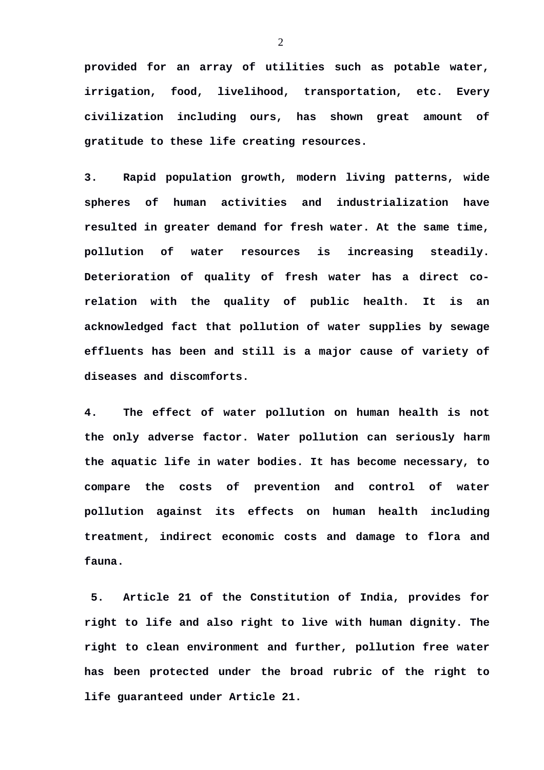**provided for an array of utilities such as potable water, irrigation, food, livelihood, transportation, etc. Every civilization including ours, has shown great amount of gratitude to these life creating resources.** 

**3. Rapid population growth, modern living patterns, wide spheres of human activities and industrialization have resulted in greater demand for fresh water. At the same time, pollution of water resources is increasing steadily. Deterioration of quality of fresh water has a direct corelation with the quality of public health. It is an acknowledged fact that pollution of water supplies by sewage effluents has been and still is a major cause of variety of diseases and discomforts.** 

**4. The effect of water pollution on human health is not the only adverse factor. Water pollution can seriously harm the aquatic life in water bodies. It has become necessary, to compare the costs of prevention and control of water pollution against its effects on human health including treatment, indirect economic costs and damage to flora and fauna.**

**5. Article 21 of the Constitution of India, provides for right to life and also right to live with human dignity. The right to clean environment and further, pollution free water has been protected under the broad rubric of the right to life guaranteed under Article 21.**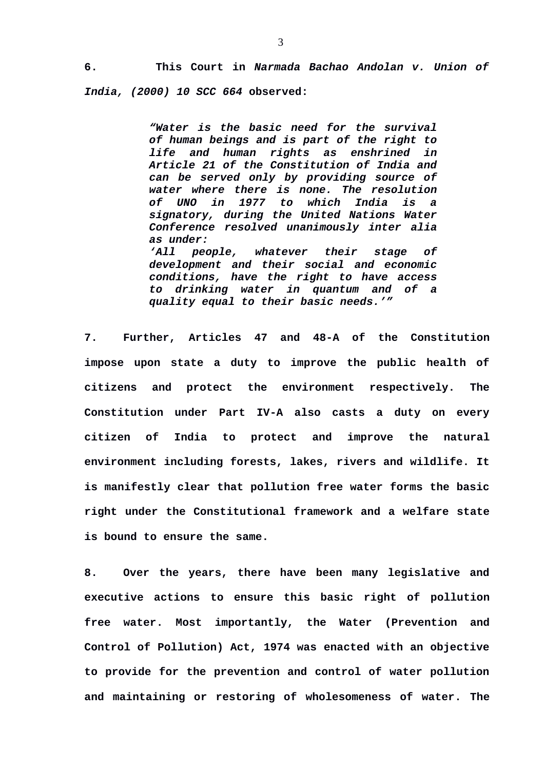**6. This Court in** *Narmada Bachao Andolan v. Union of India, (2000) 10 SCC 664* **observed:**

> *"Water is the basic need for the survival of human beings and is part of the right to life and human rights as enshrined in Article 21 of the Constitution of India and can be served only by providing source of water where there is none. The resolution of UNO in 1977 to which India is a signatory, during the United Nations Water Conference resolved unanimously inter alia as under:*

> *'All people, whatever their stage of development and their social and economic conditions, have the right to have access to drinking water in quantum and of a quality equal to their basic needs.'"*

**7. Further, Articles 47 and 48-A of the Constitution impose upon state a duty to improve the public health of citizens and protect the environment respectively. The Constitution under Part IV-A also casts a duty on every citizen of India to protect and improve the natural environment including forests, lakes, rivers and wildlife. It is manifestly clear that pollution free water forms the basic right under the Constitutional framework and a welfare state is bound to ensure the same.**

**8. Over the years, there have been many legislative and executive actions to ensure this basic right of pollution free water. Most importantly, the Water (Prevention and Control of Pollution) Act, 1974 was enacted with an objective to provide for the prevention and control of water pollution and maintaining or restoring of wholesomeness of water. The**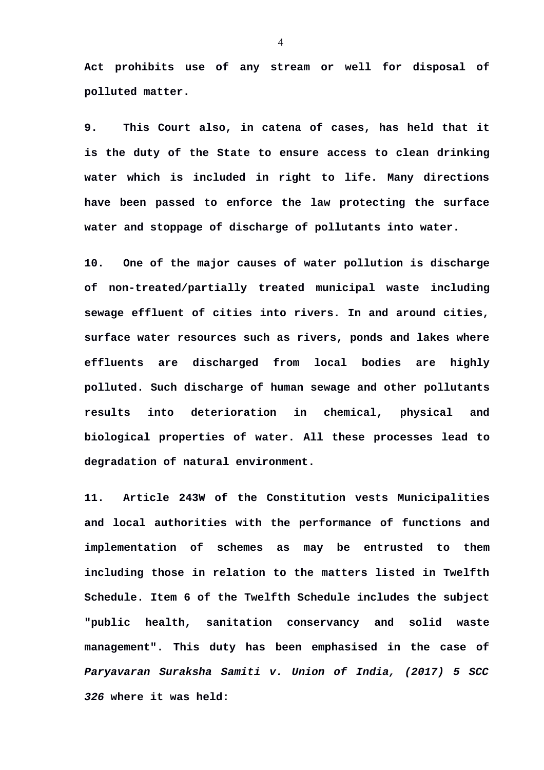**Act prohibits use of any stream or well for disposal of polluted matter.** 

**9. This Court also, in catena of cases, has held that it is the duty of the State to ensure access to clean drinking water which is included in right to life. Many directions have been passed to enforce the law protecting the surface water and stoppage of discharge of pollutants into water.**

**10. One of the major causes of water pollution is discharge of non-treated/partially treated municipal waste including sewage effluent of cities into rivers. In and around cities, surface water resources such as rivers, ponds and lakes where effluents are discharged from local bodies are highly polluted. Such discharge of human sewage and other pollutants results into deterioration in chemical, physical and biological properties of water. All these processes lead to degradation of natural environment.** 

**11. Article 243W of the Constitution vests Municipalities and local authorities with the performance of functions and implementation of schemes as may be entrusted to them including those in relation to the matters listed in Twelfth Schedule. Item 6 of the Twelfth Schedule includes the subject "public health, sanitation conservancy and solid waste management". This duty has been emphasised in the case of** *Paryavaran Suraksha Samiti v. Union of India, (2017) 5 SCC 326* **where it was held:**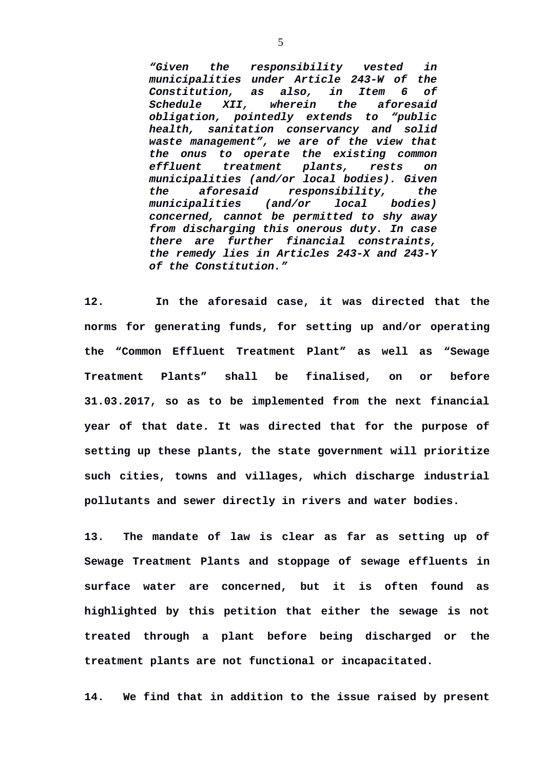*"Given the responsibility vested in municipalities under Article 243-W of the Constitution, as also, in Item 6 of Schedule XII, wherein the aforesaid obligation, pointedly extends to "public health, sanitation conservancy and solid waste management", we are of the view that the onus to operate the existing common effluent treatment plants, rests on municipalities (and/or local bodies). Given the aforesaid responsibility, the municipalities (and/or local bodies) concerned, cannot be permitted to shy away from discharging this onerous duty. In case there are further financial constraints, the remedy lies in Articles 243-X and 243-Y of the Constitution."*

**12. In the aforesaid case, it was directed that the norms for generating funds, for setting up and/or operating the "Common Effluent Treatment Plant" as well as "Sewage Treatment Plants" shall be finalised, on or before 31.03.2017, so as to be implemented from the next financial year of that date. It was directed that for the purpose of setting up these plants, the state government will prioritize such cities, towns and villages, which discharge industrial pollutants and sewer directly in rivers and water bodies.** 

**13. The mandate of law is clear as far as setting up of Sewage Treatment Plants and stoppage of sewage effluents in surface water are concerned, but it is often found as highlighted by this petition that either the sewage is not treated through a plant before being discharged or the treatment plants are not functional or incapacitated.** 

**14. We find that in addition to the issue raised by present**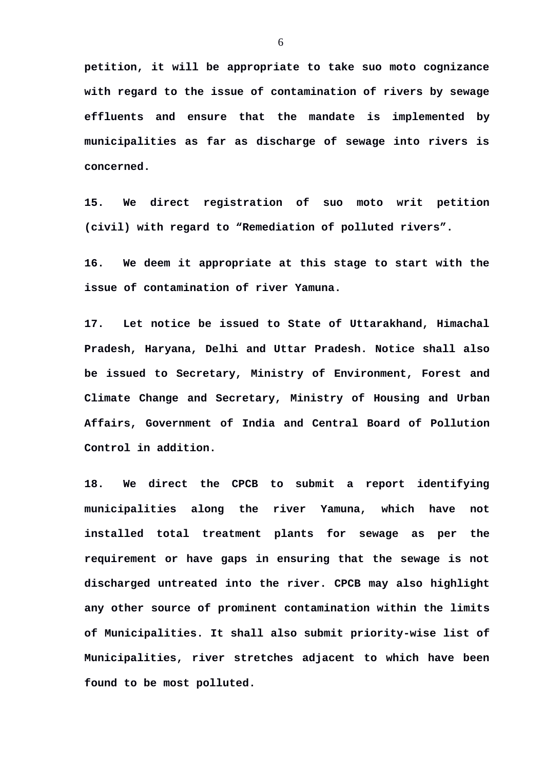**petition, it will be appropriate to take suo moto cognizance with regard to the issue of contamination of rivers by sewage effluents and ensure that the mandate is implemented by municipalities as far as discharge of sewage into rivers is concerned.** 

**15. We direct registration of suo moto writ petition (civil) with regard to "Remediation of polluted rivers".** 

**16. We deem it appropriate at this stage to start with the issue of contamination of river Yamuna.** 

**17. Let notice be issued to State of Uttarakhand, Himachal Pradesh, Haryana, Delhi and Uttar Pradesh. Notice shall also be issued to Secretary, Ministry of Environment, Forest and Climate Change and Secretary, Ministry of Housing and Urban Affairs, Government of India and Central Board of Pollution Control in addition.**

**18. We direct the CPCB to submit a report identifying municipalities along the river Yamuna, which have not installed total treatment plants for sewage as per the requirement or have gaps in ensuring that the sewage is not discharged untreated into the river. CPCB may also highlight any other source of prominent contamination within the limits of Municipalities. It shall also submit priority-wise list of Municipalities, river stretches adjacent to which have been found to be most polluted.**